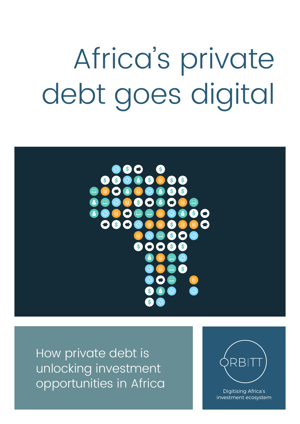# Africa's private debt goes digital



How private debt is unlocking investment opportunities in Africa Digitising Africa's



investment ecosystem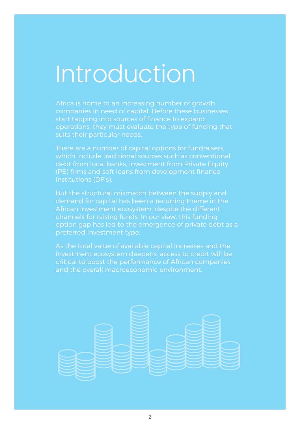# Introduction

Africa is home to an increasing number of growth companies in need of capital. Before these businesses start tapping into sources of finance to expand operations, they must evaluate the type of funding that suits their particular needs.

There are a number of capital options for fundraisers, which include traditional sources such as conventional debt from local banks, investment from Private Equity (PE) firms and soft loans from development finance institutions (DFIs).

But the structural mismatch between the supply and demand for capital has been a recurring theme in the African investment ecosystem, despite the different channels for raising funds. In our view, this funding option gap has led to the emergence of private debt as a preferred investment type.

As the total value of available capital increases and the investment ecosystem deepens, access to credit will be critical to boost the performance of African companies and the overall macroeconomic environment.

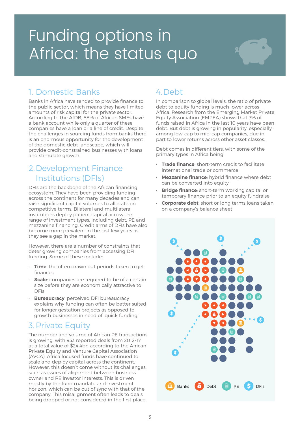### Funding options in Africa: the status quo

### 1. Domestic Banks

Banks in Africa have tended to provide finance to the public sector, which means they have limited amounts of risk capital for the private sector. According to the AfDB, 88% of African SMEs have a bank account while only a quarter of these companies have a loan or a line of credit. Despite the challenges in sourcing funds from banks there is an enormous opportunity for the development of the domestic debt landscape, which will provide credit-constrained businesses with loans and stimulate growth.

#### 2.Development Finance Institutions (DFIs)

DFIs are the backbone of the African financing ecosystem. They have been providing funding across the continent for many decades and can raise significant capital volumes to allocate on competitive terms. Bilateral and multilateral institutions deploy patient capital across the range of investment types, including debt, PE and mezzanine financing. Credit arms of DFIs have also become more prevalent in the last few years as they see a gap in the market.

However, there are a number of constraints that deter growing companies from accessing DFI funding. Some of these include:

- Time: the often drawn out periods taken to get financed
- **Scale**: companies are required to be of a certain size before they are economically attractive to DFIs
- **Bureaucracy:** perceived DFI bureaucracy explains why funding can often be better suited for longer gestation projects as opposed to growth businesses in need of 'quick funding'

#### 3.Private Equity

The number and volume of African PE transactions is growing, with 953 reported deals from 2012-17 at a total value of \$24.4bn according to the African Private Equity and Venture Capital Association (AVCA). Africa focused funds have continued to scale and deploy capital across the continent. However, this doesn't come without its challenges, such as issues of alignment between business owner and PE investor interests. This is driven mostly by the fund mandate and investment horizon, which can be out of sync with that of the company. This misalignment often leads to deals being dropped or not considered in the first place.

### 4.Debt

In comparison to global levels, the ratio of private debt to equity funding is much lower across Africa. Research from the Emerging Market Private Equity Association (EMPEA) shows that 7% of funds raised in Africa in the last 10 years have been debt. But debt is growing in popularity, especially among low-cap to mid-cap companies, due in part to lower returns across other asset classes.

Debt comes in different tiers, with some of the primary types in Africa being:

- Trade finance: short-term credit to facilitate international trade or commerce
- Mezzanine finance: hybrid finance where debt can be converted into equity
- **Bridge finance:** short-term working capital or temporary finance prior to an equity fundraise
- Corporate debt: short or long terms loans taken on a company's balance sheet

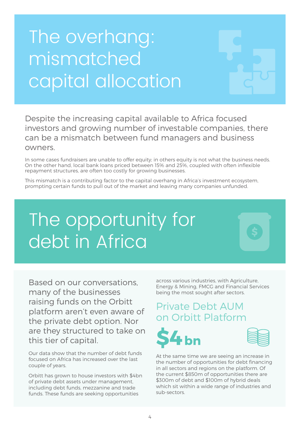## The overhang: mismatched capital allocation



Despite the increasing capital available to Africa focused investors and growing number of investable companies, there can be a mismatch between fund managers and business owners.

In some cases fundraisers are unable to offer equity; in others equity is not what the business needs. On the other hand, local bank loans priced between 15% and 25%, coupled with often inflexible repayment structures, are often too costly for growing businesses.

This mismatch is a contributing factor to the capital overhang in Africa's investment ecosystem, prompting certain funds to pull out of the market and leaving many companies unfunded.

### The opportunity for debt in Africa



Based on our conversations, many of the businesses raising funds on the Orbitt platform aren't even aware of the private debt option. Nor are they structured to take on this tier of capital.

Our data show that the number of debt funds focused on Africa has increased over the last couple of years.

Orbitt has grown to house investors with \$4bn of private debt assets under management, including debt funds, mezzanine and trade funds. These funds are seeking opportunities

across various industries, with Agriculture, Energy & Mining, FMCG and Financial Services being the most sought after sectors.

### Private Debt AUM on Orbitt Platform





At the same time we are seeing an increase in the number of opportunities for debt financing in all sectors and regions on the platform. Of the current \$850m of opportunities there are \$300m of debt and \$100m of hybrid deals which sit within a wide range of industries and sub-sectors.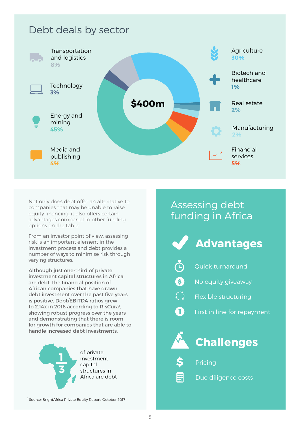### Debt deals by sector



Not only does debt offer an alternative to companies that may be unable to raise equity financing, it also offers certain advantages compared to other funding options on the table.

From an investor point of view, assessing risk is an important element in the investment process and debt provides a number of ways to minimise risk through varying structures.

Although just one-third of private investment capital structures in Africa are debt, the financial position of African companies that have drawn debt investment over the past five years is positive. Debt/EBITDA ratios grew to 2.14x in 2016 according to RisCura<sup>1</sup>, showing robust progress over the years and demonstrating that there is room for growth for companies that are able to handle increased debt investments.



of private investment capital structures in Africa are debt

### Assessing debt funding in Africa

- Advantages
- Quick turnaround
- $\ddot{\mathbf{S}}$ No equity giveaway
- $\bigcirc$ Flexible structuring
	- First in line for repayment



O.





#### Pricing

田 田 Due diligence costs

<sup>1</sup> Source: BrightAfrica Private Equity Report, October 2017